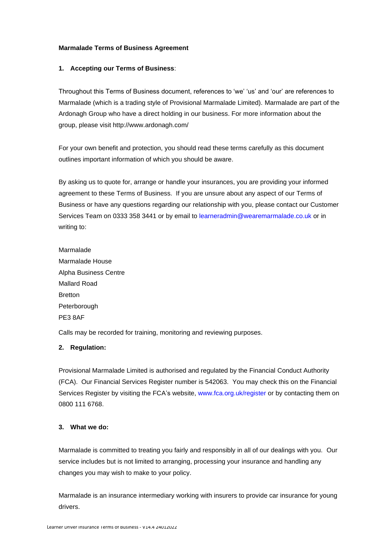### **Marmalade Terms of Business Agreement**

#### **1. Accepting our Terms of Business**:

Throughout this Terms of Business document, references to 'we' 'us' and 'our' are references to Marmalade (which is a trading style of Provisional Marmalade Limited). Marmalade are part of the Ardonagh Group who have a direct holding in our business. For more information about the group, please visit http://www.ardonagh.com/

For your own benefit and protection, you should read these terms carefully as this document outlines important information of which you should be aware.

By asking us to quote for, arrange or handle your insurances, you are providing your informed agreement to these Terms of Business. If you are unsure about any aspect of our Terms of Business or have any questions regarding our relationship with you, please contact our Customer Services Team on 0333 358 3441 or by email to [learneradmin@wearemarmalade.co.uk](mailto:learneradmin@wearemarmalade.co.uk) or in writing to:

Marmalade Marmalade House Alpha Business Centre Mallard Road Bretton Peterborough PE3 8AF

Calls may be recorded for training, monitoring and reviewing purposes.

#### **2. Regulation:**

Provisional Marmalade Limited is authorised and regulated by the Financial Conduct Authority (FCA). Our Financial Services Register number is 542063. You may check this on the Financial Services Register by visiting the FCA's website, [www.fca.org.uk/register](http://www.fca.org.uk/register) or by contacting them on 0800 111 6768.

#### **3. What we do:**

Marmalade is committed to treating you fairly and responsibly in all of our dealings with you. Our service includes but is not limited to arranging, processing your insurance and handling any changes you may wish to make to your policy.

Marmalade is an insurance intermediary working with insurers to provide car insurance for young drivers.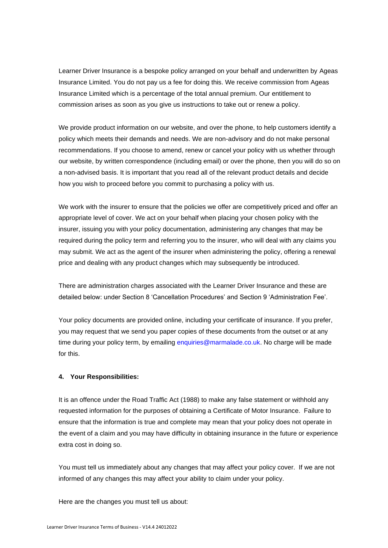Learner Driver Insurance is a bespoke policy arranged on your behalf and underwritten by Ageas Insurance Limited. You do not pay us a fee for doing this. We receive commission from Ageas Insurance Limited which is a percentage of the total annual premium. Our entitlement to commission arises as soon as you give us instructions to take out or renew a policy.

We provide product information on our website, and over the phone, to help customers identify a policy which meets their demands and needs. We are non-advisory and do not make personal recommendations. If you choose to amend, renew or cancel your policy with us whether through our website, by written correspondence (including email) or over the phone, then you will do so on a non-advised basis. It is important that you read all of the relevant product details and decide how you wish to proceed before you commit to purchasing a policy with us.

We work with the insurer to ensure that the policies we offer are competitively priced and offer an appropriate level of cover. We act on your behalf when placing your chosen policy with the insurer, issuing you with your policy documentation, administering any changes that may be required during the policy term and referring you to the insurer, who will deal with any claims you may submit. We act as the agent of the insurer when administering the policy, offering a renewal price and dealing with any product changes which may subsequently be introduced.

There are administration charges associated with the Learner Driver Insurance and these are detailed below: under Section 8 'Cancellation Procedures' and Section 9 'Administration Fee'.

Your policy documents are provided online, including your certificate of insurance. If you prefer, you may request that we send you paper copies of these documents from the outset or at any time during your policy term, by emailing [enquiries@marmalade.co.uk.](mailto:enquiries@marmalade.co.uk) No charge will be made for this.

#### **4. Your Responsibilities:**

It is an offence under the Road Traffic Act (1988) to make any false statement or withhold any requested information for the purposes of obtaining a Certificate of Motor Insurance. Failure to ensure that the information is true and complete may mean that your policy does not operate in the event of a claim and you may have difficulty in obtaining insurance in the future or experience extra cost in doing so.

You must tell us immediately about any changes that may affect your policy cover. If we are not informed of any changes this may affect your ability to claim under your policy.

Here are the changes you must tell us about: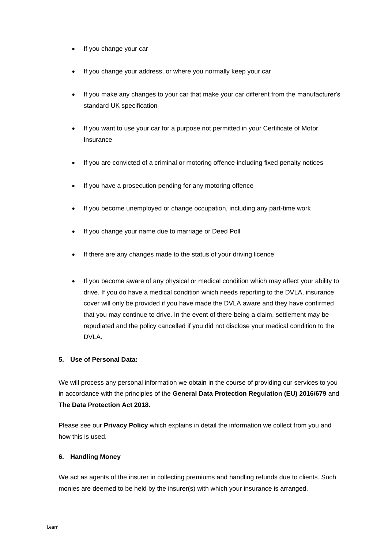- If you change your car
- If you change your address, or where you normally keep your car
- If you make any changes to your car that make your car different from the manufacturer's standard UK specification
- If you want to use your car for a purpose not permitted in your Certificate of Motor Insurance
- If you are convicted of a criminal or motoring offence including fixed penalty notices
- If you have a prosecution pending for any motoring offence
- If you become unemployed or change occupation, including any part-time work
- If you change your name due to marriage or Deed Poll
- If there are any changes made to the status of your driving licence
- If you become aware of any physical or medical condition which may affect your ability to drive. If you do have a medical condition which needs reporting to the DVLA, insurance cover will only be provided if you have made the DVLA aware and they have confirmed that you may continue to drive. In the event of there being a claim, settlement may be repudiated and the policy cancelled if you did not disclose your medical condition to the DVLA.

## **5. Use of Personal Data:**

We will process any personal information we obtain in the course of providing our services to you in accordance with the principles of the **General Data Protection Regulation (EU) 2016/679** and **The Data Protection Act 2018.**

Please see our **Privacy Policy** which explains in detail the information we collect from you and how this is used.

## **6. Handling Money**

We act as agents of the insurer in collecting premiums and handling refunds due to clients. Such monies are deemed to be held by the insurer(s) with which your insurance is arranged.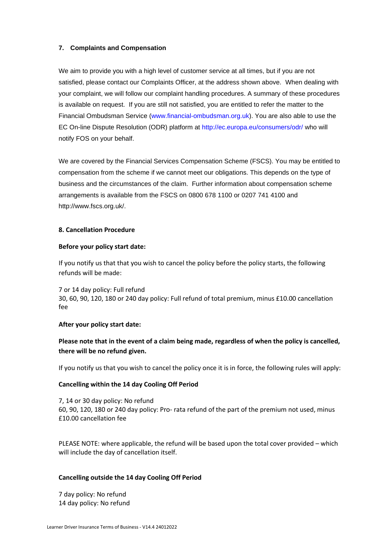# **7. Complaints and Compensation**

We aim to provide you with a high level of customer service at all times, but if you are not satisfied, please contact our Complaints Officer, at the address shown above. When dealing with your complaint, we will follow our complaint handling procedures. A summary of these procedures is available on request. If you are still not satisfied, you are entitled to refer the matter to the Financial Ombudsman Service [\(www.financial-ombudsman.org.uk\)](http://www.financial-ombudsman.org.uk/). You are also able to use the EC On-line Dispute Resolution (ODR) platform at<http://ec.europa.eu/consumers/odr/> who will notify FOS on your behalf.

We are covered by the Financial Services Compensation Scheme (FSCS). You may be entitled to compensation from the scheme if we cannot meet our obligations. This depends on the type of business and the circumstances of the claim. Further information about compensation scheme arrangements is available from the FSCS on 0800 678 1100 or 0207 741 4100 and [http://www.fscs.org.uk/.](http://www.fscs.org.uk/)

## **8. Cancellation Procedure**

#### **Before your policy start date:**

If you notify us that that you wish to cancel the policy before the policy starts, the following refunds will be made:

7 or 14 day policy: Full refund 30, 60, 90, 120, 180 or 240 day policy: Full refund of total premium, minus £10.00 cancellation fee

## **After your policy start date:**

# **Please note that in the event of a claim being made, regardless of when the policy is cancelled, there will be no refund given.**

If you notify us that you wish to cancel the policy once it is in force, the following rules will apply:

## **Cancelling within the 14 day Cooling Off Period**

7, 14 or 30 day policy: No refund 60, 90, 120, 180 or 240 day policy: Pro- rata refund of the part of the premium not used, minus £10.00 cancellation fee

PLEASE NOTE: where applicable, the refund will be based upon the total cover provided – which will include the day of cancellation itself.

## **Cancelling outside the 14 day Cooling Off Period**

7 day policy: No refund 14 day policy: No refund